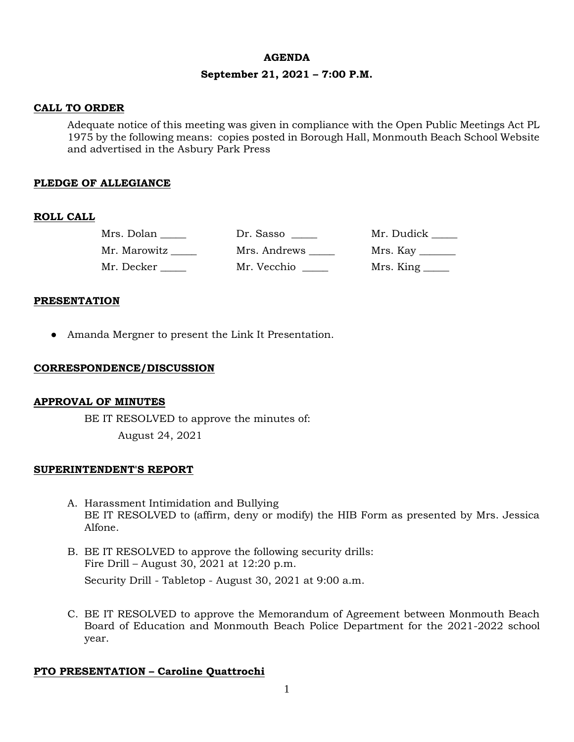#### **AGENDA**

## **September 21, 2021 – 7:00 P.M.**

### **CALL TO ORDER**

Adequate notice of this meeting was given in compliance with the Open Public Meetings Act PL 1975 by the following means: copies posted in Borough Hall, Monmouth Beach School Website and advertised in the Asbury Park Press

## **PLEDGE OF ALLEGIANCE**

## **ROLL CALL**

| Mrs. Dolan   | Dr. Sasso    | Mr. Dudick                        |
|--------------|--------------|-----------------------------------|
| Mr. Marowitz | Mrs. Andrews |                                   |
| Mr. Decker   | Mr. Vecchio  | $Mrs.$ King $\_\_\_\_\_\_\_\_\_\$ |

### **PRESENTATION**

● Amanda Mergner to present the Link It Presentation.

### **CORRESPONDENCE/DISCUSSION**

## **APPROVAL OF MINUTES**

BE IT RESOLVED to approve the minutes of: August 24, 2021

#### **SUPERINTENDENT'S REPORT**

- A. Harassment Intimidation and Bullying BE IT RESOLVED to (affirm, deny or modify) the HIB Form as presented by Mrs. Jessica Alfone.
- B. BE IT RESOLVED to approve the following security drills: Fire Drill – August 30, 2021 at 12:20 p.m. Security Drill - Tabletop - August 30, 2021 at 9:00 a.m.
- C. BE IT RESOLVED to approve the Memorandum of Agreement between Monmouth Beach Board of Education and Monmouth Beach Police Department for the 2021-2022 school year.

#### **PTO PRESENTATION – Caroline Quattrochi**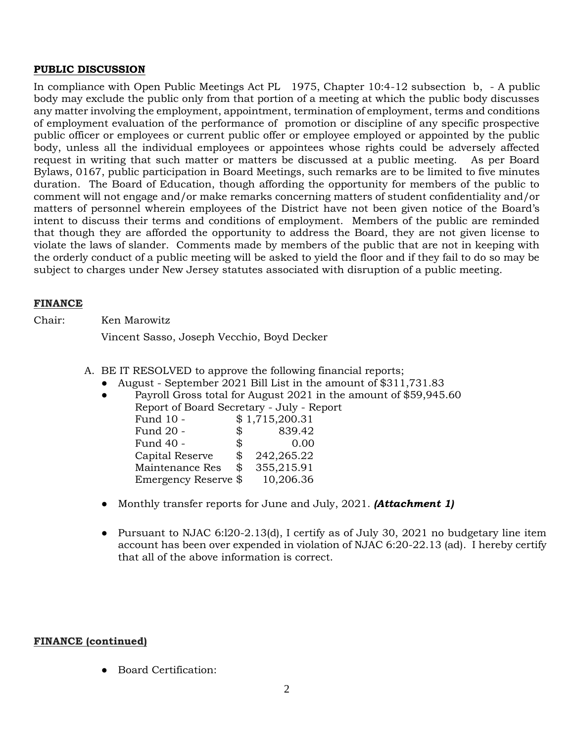## **PUBLIC DISCUSSION**

In compliance with Open Public Meetings Act PL 1975, Chapter 10:4-12 subsection b, - A public body may exclude the public only from that portion of a meeting at which the public body discusses any matter involving the employment, appointment, termination of employment, terms and conditions of employment evaluation of the performance of promotion or discipline of any specific prospective public officer or employees or current public offer or employee employed or appointed by the public body, unless all the individual employees or appointees whose rights could be adversely affected request in writing that such matter or matters be discussed at a public meeting. As per Board Bylaws, 0167, public participation in Board Meetings, such remarks are to be limited to five minutes duration. The Board of Education, though affording the opportunity for members of the public to comment will not engage and/or make remarks concerning matters of student confidentiality and/or matters of personnel wherein employees of the District have not been given notice of the Board's intent to discuss their terms and conditions of employment. Members of the public are reminded that though they are afforded the opportunity to address the Board, they are not given license to violate the laws of slander. Comments made by members of the public that are not in keeping with the orderly conduct of a public meeting will be asked to yield the floor and if they fail to do so may be subject to charges under New Jersey statutes associated with disruption of a public meeting.

## **FINANCE**

Chair: Ken Marowitz

Vincent Sasso, Joseph Vecchio, Boyd Decker

- A. BE IT RESOLVED to approve the following financial reports;
	- August September 2021 Bill List in the amount of \$311,731.83
	- Payroll Gross total for August 2021 in the amount of \$59,945.60 Report of Board Secretary - July - Report Fund 10 - \$1,715,200.31 Fund 20 - \$ 839.42 Fund 40 - \$ 0.00

| Capital Reserve      | SS. | 242,265.22 |
|----------------------|-----|------------|
| Maintenance Res      | S.  | 355,215.91 |
| Emergency Reserve \$ |     | 10,206.36  |

- Monthly transfer reports for June and July, 2021. *(Attachment 1)*
- Pursuant to NJAC 6:120-2.13(d), I certify as of July 30, 2021 no budgetary line item account has been over expended in violation of NJAC 6:20-22.13 (ad). I hereby certify that all of the above information is correct.

## **FINANCE (continued)**

● Board Certification: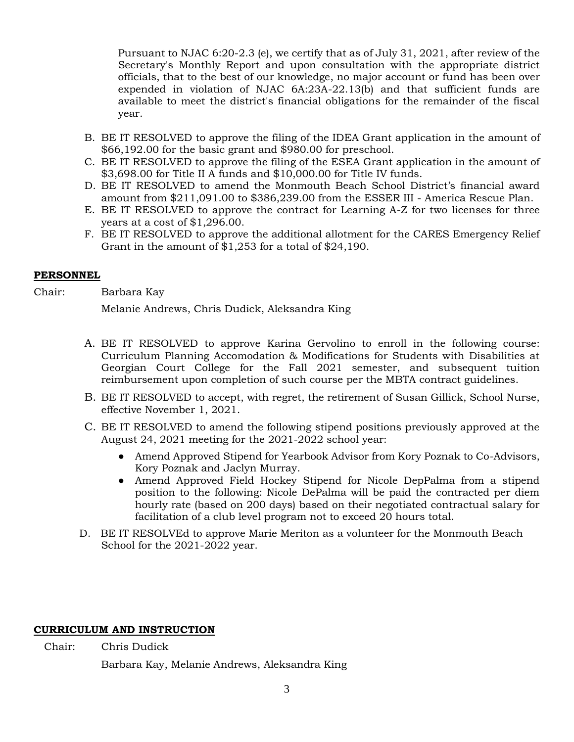Pursuant to NJAC 6:20-2.3 (e), we certify that as of July 31, 2021, after review of the Secretary's Monthly Report and upon consultation with the appropriate district officials, that to the best of our knowledge, no major account or fund has been over expended in violation of NJAC 6A:23A-22.13(b) and that sufficient funds are available to meet the district's financial obligations for the remainder of the fiscal year.

- B. BE IT RESOLVED to approve the filing of the IDEA Grant application in the amount of \$66,192.00 for the basic grant and \$980.00 for preschool.
- C. BE IT RESOLVED to approve the filing of the ESEA Grant application in the amount of \$3,698.00 for Title II A funds and \$10,000.00 for Title IV funds.
- D. BE IT RESOLVED to amend the Monmouth Beach School District's financial award amount from \$211,091.00 to \$386,239.00 from the ESSER III - America Rescue Plan.
- E. BE IT RESOLVED to approve the contract for Learning A-Z for two licenses for three years at a cost of \$1,296.00.
- F. BE IT RESOLVED to approve the additional allotment for the CARES Emergency Relief Grant in the amount of \$1,253 for a total of \$24,190.

# **PERSONNEL**

Chair: Barbara Kay

Melanie Andrews, Chris Dudick, Aleksandra King

- A. BE IT RESOLVED to approve Karina Gervolino to enroll in the following course: Curriculum Planning Accomodation & Modifications for Students with Disabilities at Georgian Court College for the Fall 2021 semester, and subsequent tuition reimbursement upon completion of such course per the MBTA contract guidelines.
- B. BE IT RESOLVED to accept, with regret, the retirement of Susan Gillick, School Nurse, effective November 1, 2021.
- C. BE IT RESOLVED to amend the following stipend positions previously approved at the August 24, 2021 meeting for the 2021-2022 school year:
	- Amend Approved Stipend for Yearbook Advisor from Kory Poznak to Co-Advisors, Kory Poznak and Jaclyn Murray.
	- Amend Approved Field Hockey Stipend for Nicole DepPalma from a stipend position to the following: Nicole DePalma will be paid the contracted per diem hourly rate (based on 200 days) based on their negotiated contractual salary for facilitation of a club level program not to exceed 20 hours total.
- D. BE IT RESOLVEd to approve Marie Meriton as a volunteer for the Monmouth Beach School for the 2021-2022 year.

# **CURRICULUM AND INSTRUCTION**

Chair: Chris Dudick

Barbara Kay, Melanie Andrews, Aleksandra King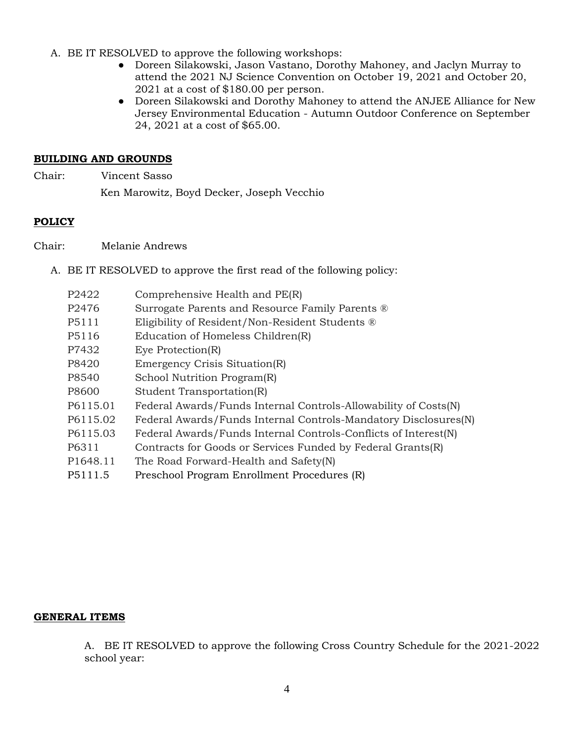- A. BE IT RESOLVED to approve the following workshops:
	- Doreen Silakowski, Jason Vastano, Dorothy Mahoney, and Jaclyn Murray to attend the 2021 NJ Science Convention on October 19, 2021 and October 20, 2021 at a cost of \$180.00 per person.
	- Doreen Silakowski and Dorothy Mahoney to attend the ANJEE Alliance for New Jersey Environmental Education - Autumn Outdoor Conference on September 24, 2021 at a cost of \$65.00.

## **BUILDING AND GROUNDS**

Chair: Vincent Sasso

Ken Marowitz, Boyd Decker, Joseph Vecchio

## **POLICY**

Chair: Melanie Andrews

- A. BE IT RESOLVED to approve the first read of the following policy:
	- P2422 Comprehensive Health and PE(R)
	- P2476 Surrogate Parents and Resource Family Parents ®
	- P5111 Eligibility of Resident/Non-Resident Students ®
	- P5116 Education of Homeless Children(R)
	- P7432 Eye Protection(R)
	- P8420 Emergency Crisis Situation(R)
	- P8540 School Nutrition Program(R)
	- P8600 Student Transportation(R)
	- P6115.01 Federal Awards/Funds Internal Controls-Allowability of Costs(N)
	- P6115.02 Federal Awards/Funds Internal Controls-Mandatory Disclosures(N)
	- P6115.03 Federal Awards/Funds Internal Controls-Conflicts of Interest(N)
	- P6311 Contracts for Goods or Services Funded by Federal Grants(R)
	- P1648.11 The Road Forward-Health and Safety(N)
	- P5111.5 Preschool Program Enrollment Procedures (R)

## **GENERAL ITEMS**

A. BE IT RESOLVED to approve the following Cross Country Schedule for the 2021-2022 school year: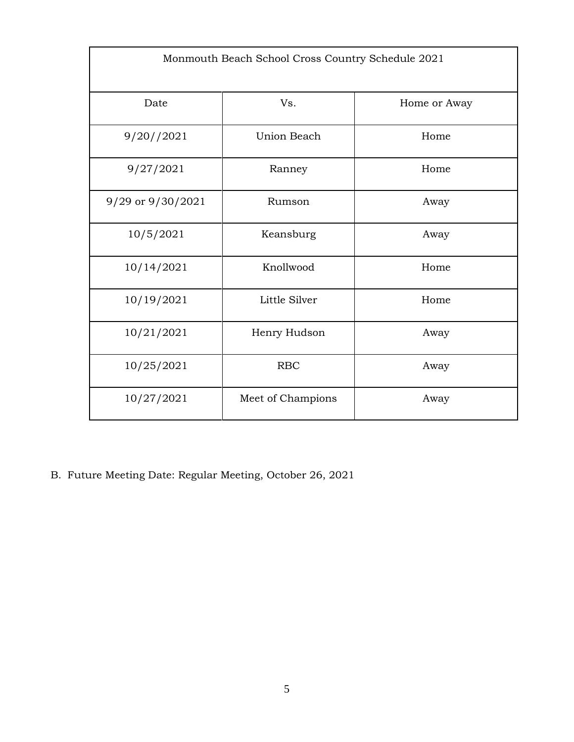| Monmouth Beach School Cross Country Schedule 2021 |                    |              |  |
|---------------------------------------------------|--------------------|--------------|--|
| Date                                              | Vs.                | Home or Away |  |
| 9/20//2021                                        | <b>Union Beach</b> | Home         |  |
| 9/27/2021                                         | Ranney             | Home         |  |
| 9/29 or 9/30/2021                                 | Rumson             | Away         |  |
| 10/5/2021                                         | Keansburg          | Away         |  |
| 10/14/2021                                        | Knollwood          | Home         |  |
| 10/19/2021                                        | Little Silver      | Home         |  |
| 10/21/2021                                        | Henry Hudson       | Away         |  |
| 10/25/2021                                        | <b>RBC</b>         | Away         |  |
| 10/27/2021                                        | Meet of Champions  | Away         |  |

B. Future Meeting Date: Regular Meeting, October 26, 2021